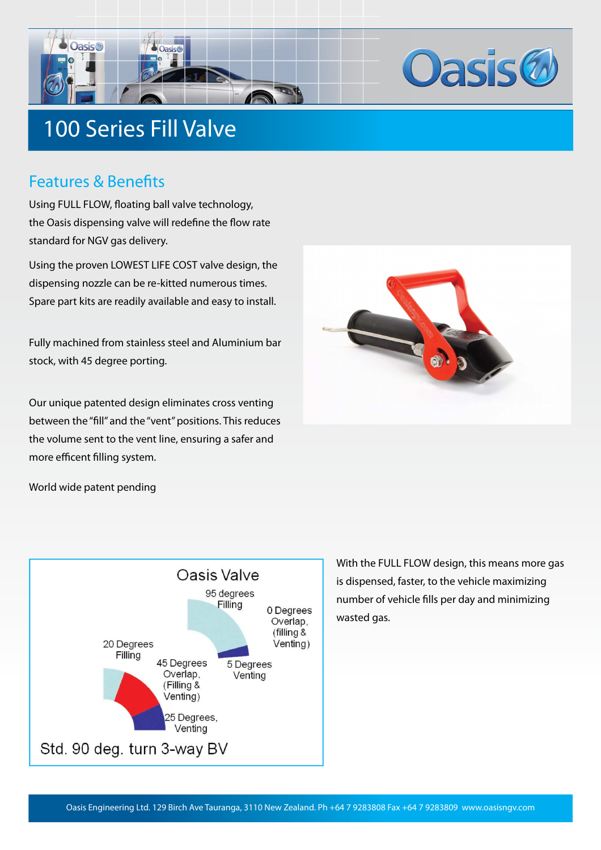



# 100 Series Fill Valve

#### Features & Benefits

Using FULL FLOW, floating ball valve technology, the Oasis dispensing valve will redefine the flow rate standard for NGV gas delivery.

Using the proven LOWEST LIFE COST valve design, the dispensing nozzle can be re-kitted numerous times. Spare part kits are readily available and easy to install.

Fully machined from stainless steel and Aluminium bar stock, with 45 degree porting.

Our unique patented design eliminates cross venting between the "fill" and the "vent" positions. This reduces the volume sent to the vent line, ensuring a safer and more efficent filling system.



World wide patent pending



With the FULL FLOW design, this means more gas is dispensed, faster, to the vehicle maximizing number of vehicle fills per day and minimizing wasted gas.